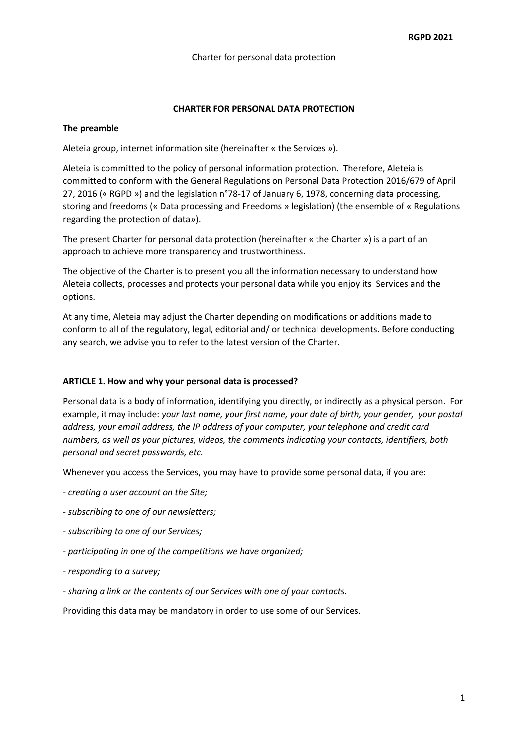### **CHARTER FOR PERSONAL DATA PROTECTION**

#### **The preamble**

Aleteia group, internet information site (hereinafter « the Services »).

Aleteia is committed to the policy of personal information protection. Therefore, Aleteia is committed to conform with the General Regulations on Personal Data Protection 2016/679 of April 27, 2016 (« RGPD ») and the legislation n°78-17 of January 6, 1978, concerning data processing, storing and freedoms (« Data processing and Freedoms » legislation) (the ensemble of « Regulations regarding the protection of data»).

The present Charter for personal data protection (hereinafter « the Charter ») is a part of an approach to achieve more transparency and trustworthiness.

The objective of the Charter is to present you all the information necessary to understand how Aleteia collects, processes and protects your personal data while you enjoy its Services and the options.

At any time, Aleteia may adjust the Charter depending on modifications or additions made to conform to all of the regulatory, legal, editorial and/ or technical developments. Before conducting any search, we advise you to refer to the latest version of the Charter.

#### **ARTICLE 1. How and why your personal data is processed?**

Personal data is a body of information, identifying you directly, or indirectly as a physical person. For example, it may include: *your last name, your first name, your date of birth, your gender, your postal address, your email address, the IP address of your computer, your telephone and credit card numbers, as well as your pictures, videos, the comments indicating your contacts, identifiers, both personal and secret passwords, etc.*

Whenever you access the Services, you may have to provide some personal data, if you are:

- *- creating a user account on the Site;*
- *- subscribing to one of our newsletters;*
- *- subscribing to one of our Services;*
- *- participating in one of the competitions we have organized;*
- *- responding to a survey;*
- *- sharing a link or the contents of our Services with one of your contacts.*

Providing this data may be mandatory in order to use some of our Services.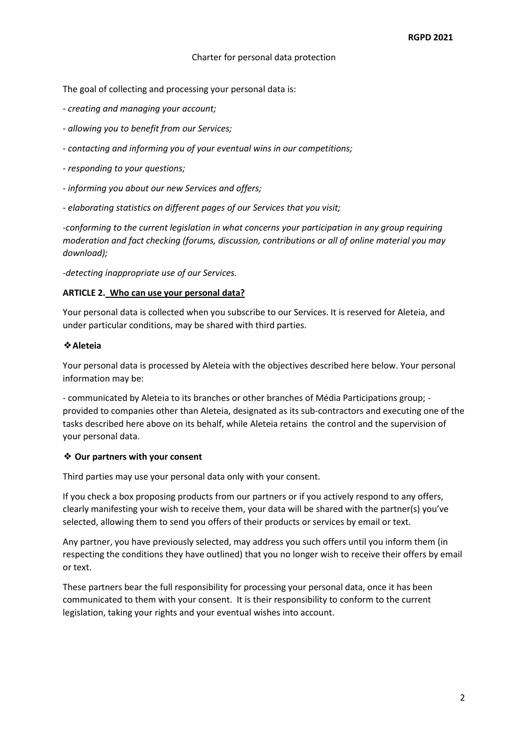The goal of collecting and processing your personal data is:

- *- creating and managing your account;*
- *- allowing you to benefit from our Services;*
- *- contacting and informing you of your eventual wins in our competitions;*
- *- responding to your questions;*
- *- informing you about our new Services and offers;*
- *- elaborating statistics on different pages of our Services that you visit;*

*-conforming to the current legislation in what concerns your participation in any group requiring moderation and fact checking (forums, discussion, contributions or all of online material you may download);* 

*-detecting inappropriate use of our Services.*

#### **ARTICLE 2. Who can use your personal data?**

Your personal data is collected when you subscribe to our Services. It is reserved for Aleteia, and under particular conditions, may be shared with third parties.

### ❖**Aleteia**

Your personal data is processed by Aleteia with the objectives described here below. Your personal information may be:

- communicated by Aleteia to its branches or other branches of Média Participations group; provided to companies other than Aleteia, designated as its sub-contractors and executing one of the tasks described here above on its behalf, while Aleteia retains the control and the supervision of your personal data.

#### ❖ **Our partners with your consent**

Third parties may use your personal data only with your consent.

If you check a box proposing products from our partners or if you actively respond to any offers, clearly manifesting your wish to receive them, your data will be shared with the partner(s) you've selected, allowing them to send you offers of their products or services by email or text.

Any partner, you have previously selected, may address you such offers until you inform them (in respecting the conditions they have outlined) that you no longer wish to receive their offers by email or text.

These partners bear the full responsibility for processing your personal data, once it has been communicated to them with your consent. It is their responsibility to conform to the current legislation, taking your rights and your eventual wishes into account.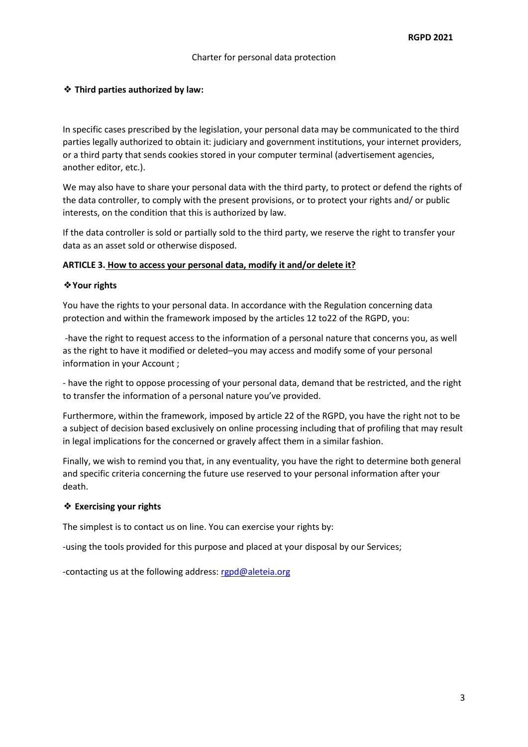## ❖ **Third parties authorized by law:**

In specific cases prescribed by the legislation, your personal data may be communicated to the third parties legally authorized to obtain it: judiciary and government institutions, your internet providers, or a third party that sends cookies stored in your computer terminal (advertisement agencies, another editor, etc.).

We may also have to share your personal data with the third party, to protect or defend the rights of the data controller, to comply with the present provisions, or to protect your rights and/ or public interests, on the condition that this is authorized by law.

If the data controller is sold or partially sold to the third party, we reserve the right to transfer your data as an asset sold or otherwise disposed.

### **ARTICLE 3. How to access your personal data, modify it and/or delete it?**

#### ❖**Your rights**

You have the rights to your personal data. In accordance with the Regulation concerning data protection and within the framework imposed by the articles 12 to22 of the RGPD, you:

-have the right to request access to the information of a personal nature that concerns you, as well as the right to have it modified or deleted–you may access and modify some of your personal information in your Account ;

- have the right to oppose processing of your personal data, demand that be restricted, and the right to transfer the information of a personal nature you've provided.

Furthermore, within the framework, imposed by article 22 of the RGPD, you have the right not to be a subject of decision based exclusively on online processing including that of profiling that may result in legal implications for the concerned or gravely affect them in a similar fashion.

Finally, we wish to remind you that, in any eventuality, you have the right to determine both general and specific criteria concerning the future use reserved to your personal information after your death.

### ❖ **Exercising your rights**

The simplest is to contact us on line. You can exercise your rights by:

-using the tools provided for this purpose and placed at your disposal by our Services;

-contacting us at the following address: rgpd@aleteia.org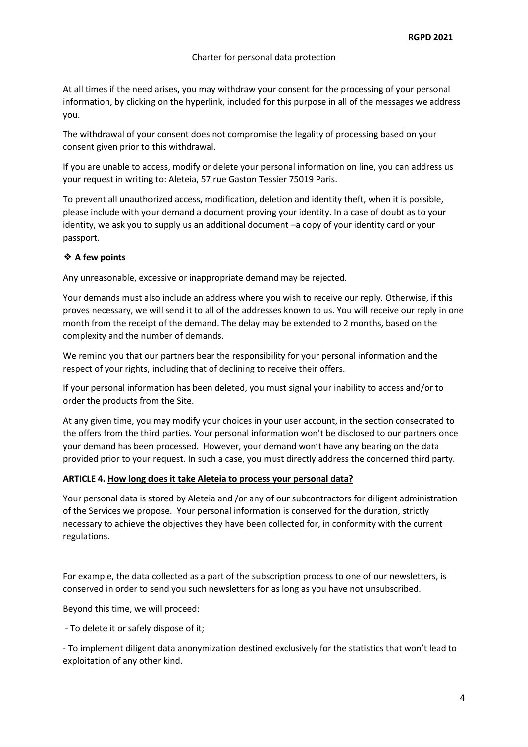At all times if the need arises, you may withdraw your consent for the processing of your personal information, by clicking on the hyperlink, included for this purpose in all of the messages we address you.

The withdrawal of your consent does not compromise the legality of processing based on your consent given prior to this withdrawal.

If you are unable to access, modify or delete your personal information on line, you can address us your request in writing to: Aleteia, 57 rue Gaston Tessier 75019 Paris.

To prevent all unauthorized access, modification, deletion and identity theft, when it is possible, please include with your demand a document proving your identity. In a case of doubt as to your identity, we ask you to supply us an additional document –a copy of your identity card or your passport.

# ❖ **A few points**

Any unreasonable, excessive or inappropriate demand may be rejected.

Your demands must also include an address where you wish to receive our reply. Otherwise, if this proves necessary, we will send it to all of the addresses known to us. You will receive our reply in one month from the receipt of the demand. The delay may be extended to 2 months, based on the complexity and the number of demands.

We remind you that our partners bear the responsibility for your personal information and the respect of your rights, including that of declining to receive their offers.

If your personal information has been deleted, you must signal your inability to access and/or to order the products from the Site.

At any given time, you may modify your choices in your user account, in the section consecrated to the offers from the third parties. Your personal information won't be disclosed to our partners once your demand has been processed. However, your demand won't have any bearing on the data provided prior to your request. In such a case, you must directly address the concerned third party.

### **ARTICLE 4. How long does it take Aleteia to process your personal data?**

Your personal data is stored by Aleteia and /or any of our subcontractors for diligent administration of the Services we propose. Your personal information is conserved for the duration, strictly necessary to achieve the objectives they have been collected for, in conformity with the current regulations.

For example, the data collected as a part of the subscription process to one of our newsletters, is conserved in order to send you such newsletters for as long as you have not unsubscribed.

Beyond this time, we will proceed:

- To delete it or safely dispose of it;

- To implement diligent data anonymization destined exclusively for the statistics that won't lead to exploitation of any other kind.